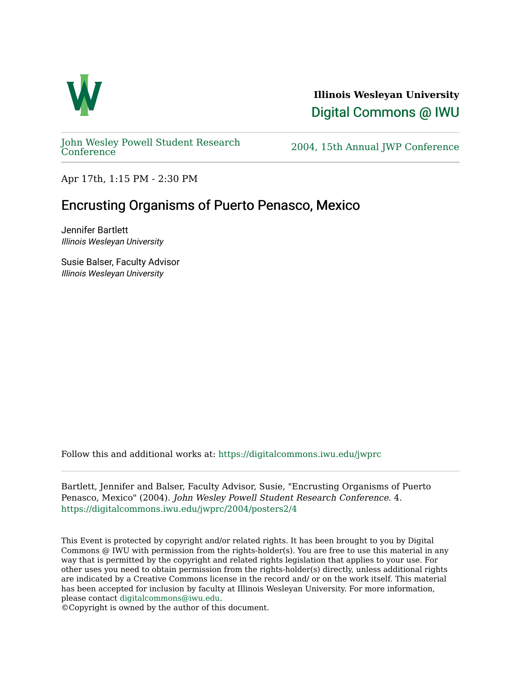

**Illinois Wesleyan University**  [Digital Commons @ IWU](https://digitalcommons.iwu.edu/) 

[John Wesley Powell Student Research](https://digitalcommons.iwu.edu/jwprc) 

2004, 15th Annual JWP [Conference](https://digitalcommons.iwu.edu/jwprc)

Apr 17th, 1:15 PM - 2:30 PM

## Encrusting Organisms of Puerto Penasco, Mexico

Jennifer Bartlett Illinois Wesleyan University

Susie Balser, Faculty Advisor Illinois Wesleyan University

Follow this and additional works at: [https://digitalcommons.iwu.edu/jwprc](https://digitalcommons.iwu.edu/jwprc?utm_source=digitalcommons.iwu.edu%2Fjwprc%2F2004%2Fposters2%2F4&utm_medium=PDF&utm_campaign=PDFCoverPages) 

Bartlett, Jennifer and Balser, Faculty Advisor, Susie, "Encrusting Organisms of Puerto Penasco, Mexico" (2004). John Wesley Powell Student Research Conference. 4. [https://digitalcommons.iwu.edu/jwprc/2004/posters2/4](https://digitalcommons.iwu.edu/jwprc/2004/posters2/4?utm_source=digitalcommons.iwu.edu%2Fjwprc%2F2004%2Fposters2%2F4&utm_medium=PDF&utm_campaign=PDFCoverPages)

This Event is protected by copyright and/or related rights. It has been brought to you by Digital Commons @ IWU with permission from the rights-holder(s). You are free to use this material in any way that is permitted by the copyright and related rights legislation that applies to your use. For other uses you need to obtain permission from the rights-holder(s) directly, unless additional rights are indicated by a Creative Commons license in the record and/ or on the work itself. This material has been accepted for inclusion by faculty at Illinois Wesleyan University. For more information, please contact [digitalcommons@iwu.edu.](mailto:digitalcommons@iwu.edu)

©Copyright is owned by the author of this document.